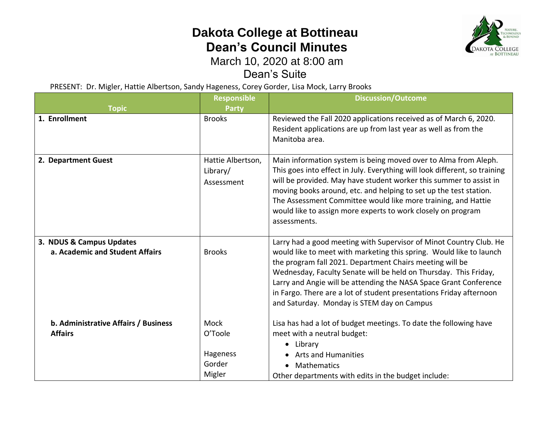## **Dakota College at Bottineau Dean's Council Minutes**



## March 10, 2020 at 8:00 am

Dean's Suite

PRESENT: Dr. Migler, Hattie Albertson, Sandy Hageness, Corey Gorder, Lisa Mock, Larry Brooks

| <b>Topic</b>                                                | <b>Responsible</b><br><b>Party</b>                     | <b>Discussion/Outcome</b>                                                                                                                                                                                                                                                                                                                                                                                                                                           |
|-------------------------------------------------------------|--------------------------------------------------------|---------------------------------------------------------------------------------------------------------------------------------------------------------------------------------------------------------------------------------------------------------------------------------------------------------------------------------------------------------------------------------------------------------------------------------------------------------------------|
| 1. Enrollment                                               | <b>Brooks</b>                                          | Reviewed the Fall 2020 applications received as of March 6, 2020.<br>Resident applications are up from last year as well as from the<br>Manitoba area.                                                                                                                                                                                                                                                                                                              |
| 2. Department Guest                                         | Hattie Albertson,<br>Library/<br>Assessment            | Main information system is being moved over to Alma from Aleph.<br>This goes into effect in July. Everything will look different, so training<br>will be provided. May have student worker this summer to assist in<br>moving books around, etc. and helping to set up the test station.<br>The Assessment Committee would like more training, and Hattie<br>would like to assign more experts to work closely on program<br>assessments.                           |
| 3. NDUS & Campus Updates<br>a. Academic and Student Affairs | <b>Brooks</b>                                          | Larry had a good meeting with Supervisor of Minot Country Club. He<br>would like to meet with marketing this spring. Would like to launch<br>the program fall 2021. Department Chairs meeting will be<br>Wednesday, Faculty Senate will be held on Thursday. This Friday,<br>Larry and Angie will be attending the NASA Space Grant Conference<br>in Fargo. There are a lot of student presentations Friday afternoon<br>and Saturday. Monday is STEM day on Campus |
| b. Administrative Affairs / Business<br><b>Affairs</b>      | <b>Mock</b><br>O'Toole<br>Hageness<br>Gorder<br>Migler | Lisa has had a lot of budget meetings. To date the following have<br>meet with a neutral budget:<br>Library<br>$\bullet$<br><b>Arts and Humanities</b><br>Mathematics<br>$\bullet$<br>Other departments with edits in the budget include:                                                                                                                                                                                                                           |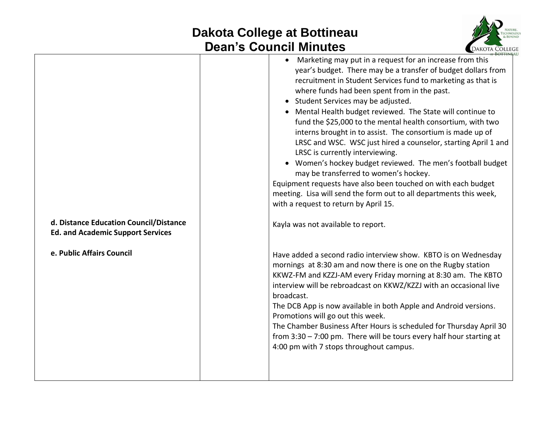## **Dakota College at Bottineau Dean's Council Minutes**



|                                                                                    | an o oodhon minatoo<br><b>COMMOTIVE COLLECT</b>                                                                                                                                                                                                                                                                                                                                                                                                                                                                                                                                                                                                                                                                                                                                                                                                                           |
|------------------------------------------------------------------------------------|---------------------------------------------------------------------------------------------------------------------------------------------------------------------------------------------------------------------------------------------------------------------------------------------------------------------------------------------------------------------------------------------------------------------------------------------------------------------------------------------------------------------------------------------------------------------------------------------------------------------------------------------------------------------------------------------------------------------------------------------------------------------------------------------------------------------------------------------------------------------------|
|                                                                                    | Marketing may put in a request for an increase from this<br>year's budget. There may be a transfer of budget dollars from<br>recruitment in Student Services fund to marketing as that is<br>where funds had been spent from in the past.<br>• Student Services may be adjusted.<br>• Mental Health budget reviewed. The State will continue to<br>fund the \$25,000 to the mental health consortium, with two<br>interns brought in to assist. The consortium is made up of<br>LRSC and WSC. WSC just hired a counselor, starting April 1 and<br>LRSC is currently interviewing.<br>• Women's hockey budget reviewed. The men's football budget<br>may be transferred to women's hockey.<br>Equipment requests have also been touched on with each budget<br>meeting. Lisa will send the form out to all departments this week,<br>with a request to return by April 15. |
| d. Distance Education Council/Distance<br><b>Ed. and Academic Support Services</b> | Kayla was not available to report.                                                                                                                                                                                                                                                                                                                                                                                                                                                                                                                                                                                                                                                                                                                                                                                                                                        |
| e. Public Affairs Council                                                          | Have added a second radio interview show. KBTO is on Wednesday<br>mornings at 8:30 am and now there is one on the Rugby station<br>KKWZ-FM and KZZJ-AM every Friday morning at 8:30 am. The KBTO<br>interview will be rebroadcast on KKWZ/KZZJ with an occasional live<br>broadcast.<br>The DCB App is now available in both Apple and Android versions.<br>Promotions will go out this week.<br>The Chamber Business After Hours is scheduled for Thursday April 30<br>from $3:30 - 7:00$ pm. There will be tours every half hour starting at<br>4:00 pm with 7 stops throughout campus.                                                                                                                                                                                                                                                                                 |